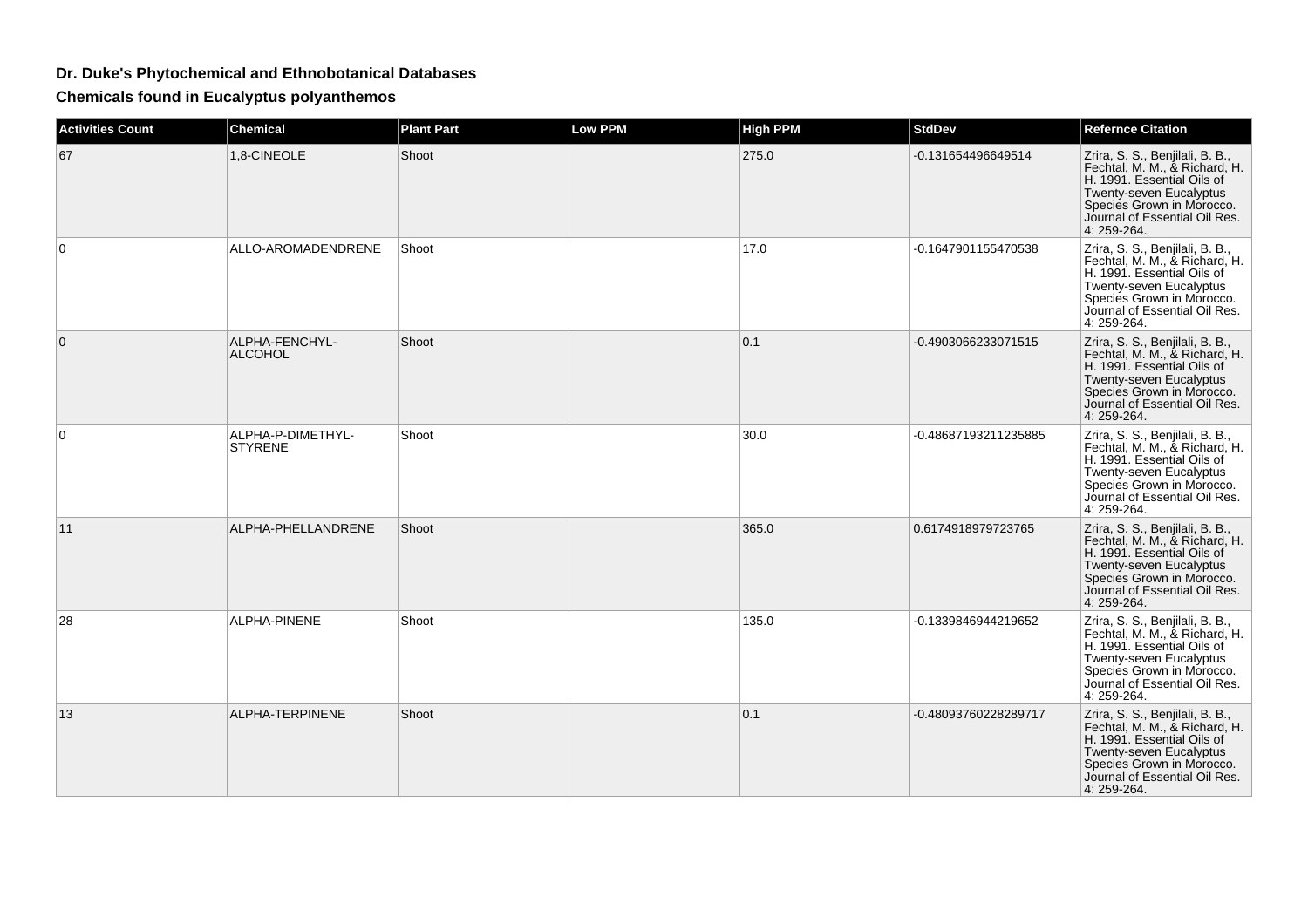## **Dr. Duke's Phytochemical and Ethnobotanical Databases**

**Chemicals found in Eucalyptus polyanthemos**

| <b>Activities Count</b> | <b>Chemical</b>                     | <b>Plant Part</b> | <b>Low PPM</b> | <b>High PPM</b> | <b>StdDev</b>        | <b>Refernce Citation</b>                                                                                                                                                                               |
|-------------------------|-------------------------------------|-------------------|----------------|-----------------|----------------------|--------------------------------------------------------------------------------------------------------------------------------------------------------------------------------------------------------|
| 67                      | 1,8-CINEOLE                         | Shoot             |                | 275.0           | -0.131654496649514   | Zrira, S. S., Benjilali, B. B.,<br>Fechtal, M. M., & Richard, H.<br>H. 1991. Essential Oils of<br>Twenty-seven Eucalyptus<br>Species Grown in Morocco.<br>Journal of Essential Oil Res.<br>4: 259-264. |
| 0                       | ALLO-AROMADENDRENE                  | Shoot             |                | 17.0            | -0.1647901155470538  | Zrira, S. S., Benjilali, B. B.,<br>Fechtal, M. M., & Richard, H.<br>H. 1991. Essential Oils of<br>Twenty-seven Eucalyptus<br>Species Grown in Morocco.<br>Journal of Essential Oil Res.<br>4: 259-264. |
| $\Omega$                | ALPHA-FENCHYL-<br><b>ALCOHOL</b>    | Shoot             |                | 0.1             | -0.4903066233071515  | Zrira, S. S., Benjilali, B. B.,<br>Fechtal, M. M., & Richard, H.<br>H. 1991. Essential Oils of<br>Twenty-seven Eucalyptus<br>Species Grown in Morocco.<br>Journal of Essential Oil Res.<br>4: 259-264. |
| 0                       | ALPHA-P-DIMETHYL-<br><b>STYRENE</b> | Shoot             |                | 30.0            | -0.48687193211235885 | Zrira, S. S., Benjilali, B. B.,<br>Fechtal, M. M., & Richard, H.<br>H. 1991. Essential Oils of<br>Twenty-seven Eucalyptus<br>Species Grown in Morocco.<br>Journal of Essential Oil Res.<br>4: 259-264. |
| 11                      | ALPHA-PHELLANDRENE                  | Shoot             |                | 365.0           | 0.6174918979723765   | Zrira, S. S., Benjilali, B. B.,<br>Fechtal, M. M., & Richard, H.<br>H. 1991. Essential Oils of<br>Twenty-seven Eucalyptus<br>Species Grown in Morocco.<br>Journal of Essential Oil Res.<br>4:259-264.  |
| 28                      | ALPHA-PINENE                        | Shoot             |                | 135.0           | -0.1339846944219652  | Zrira, S. S., Benjilali, B. B.,<br>Fechtal, M. M., & Richard, H.<br>H. 1991. Essential Oils of<br>Twenty-seven Eucalyptus<br>Species Grown in Morocco.<br>Journal of Essential Oil Res.<br>4: 259-264. |
| 13                      | ALPHA-TERPINENE                     | Shoot             |                | 0.1             | -0.48093760228289717 | Zrira, S. S., Benjilali, B. B.,<br>Fechtal, M. M., & Richard, H.<br>H. 1991. Essential Oils of<br>Twenty-seven Eucalyptus<br>Species Grown in Morocco.<br>Journal of Essential Oil Res.<br>4: 259-264. |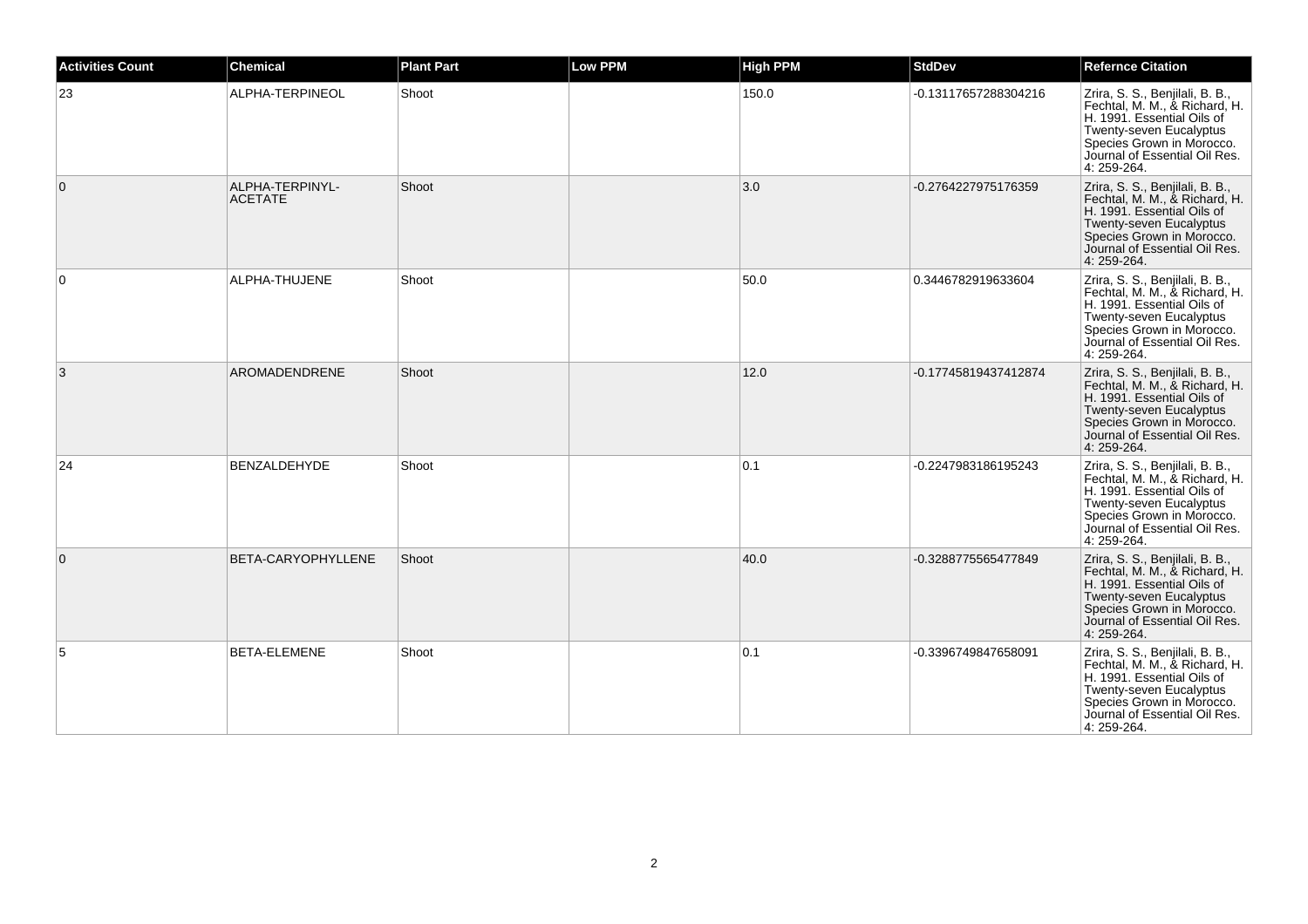| <b>Activities Count</b> | <b>Chemical</b>                   | <b>Plant Part</b> | <b>Low PPM</b> | <b>High PPM</b> | <b>StdDev</b>        | <b>Refernce Citation</b>                                                                                                                                                                                      |
|-------------------------|-----------------------------------|-------------------|----------------|-----------------|----------------------|---------------------------------------------------------------------------------------------------------------------------------------------------------------------------------------------------------------|
| 23                      | ALPHA-TERPINEOL                   | Shoot             |                | 150.0           | -0.13117657288304216 | Zrira, S. S., Benjilali, B. B.,<br>Fechtal, M. M., & Richard, H.<br>H. 1991. Essential Oils of<br>Twenty-seven Eucalyptus<br>Species Grown in Morocco.<br>Journal of Essential Oil Res.<br>4: 259-264.        |
| $\mathbf{0}$            | ALPHA-TERPINYL-<br><b>ACETATE</b> | Shoot             |                | 3.0             | -0.2764227975176359  | Zrira, S. S., Benjilali, B. B.,<br>Fechtal, M. M., & Richard, H.<br>H. 1991. Essential Oils of<br>Twenty-seven Eucalyptus<br>Species Grown in Morocco.<br>Journal of Essential Oil Res.<br>4: 259-264.        |
| 0                       | ALPHA-THUJENE                     | Shoot             |                | 50.0            | 0.3446782919633604   | Zrira, S. S., Benjilali, B. B.,<br>Fechtal, M. M., & Richard, H.<br>H. 1991. Essential Oils of<br>Twenty-seven Eucalyptus<br>Species Grown in Morocco.<br>Journal of Essential Oil Res.<br>4: 259-264.        |
| 3                       | AROMADENDRENE                     | Shoot             |                | 12.0            | -0.17745819437412874 | Zrira, S. S., Benjilali, B. B.,<br>Fechtal, M. M., & Richard, H.<br>H. 1991. Essential Oils of<br>Twenty-seven Eucalyptus<br>Species Grown in Morocco.<br>Journal of Essential Oil Res.<br>4: 259-264.        |
| 24                      | <b>BENZALDEHYDE</b>               | Shoot             |                | 0.1             | -0.2247983186195243  | Zrira, S. S., Benjilali, B. B.,<br>Fechtal, M. M., & Richard, H.<br>H. 1991. Essential Oils of<br><b>Twenty-seven Eucalyptus</b><br>Species Grown in Morocco.<br>Journal of Essential Oil Res.<br>4: 259-264. |
| $\mathbf{0}$            | BETA-CARYOPHYLLENE                | Shoot             |                | 40.0            | -0.3288775565477849  | Zrira, S. S., Benjilali, B. B.,<br>Fechtal, M. M., & Richard, H.<br>H. 1991. Essential Oils of<br>Twenty-seven Eucalyptus<br>Species Grown in Morocco.<br>Journal of Essential Oil Res.<br>4: 259-264.        |
| 5                       | BETA-ELEMENE                      | Shoot             |                | 0.1             | -0.3396749847658091  | Zrira, S. S., Benjilali, B. B.,<br>Fechtal, M. M., & Richard, H.<br>H. 1991. Essential Oils of<br>Twenty-seven Eucalyptus<br>Species Grown in Morocco.<br>Journal of Essential Oil Res.<br>4: 259-264.        |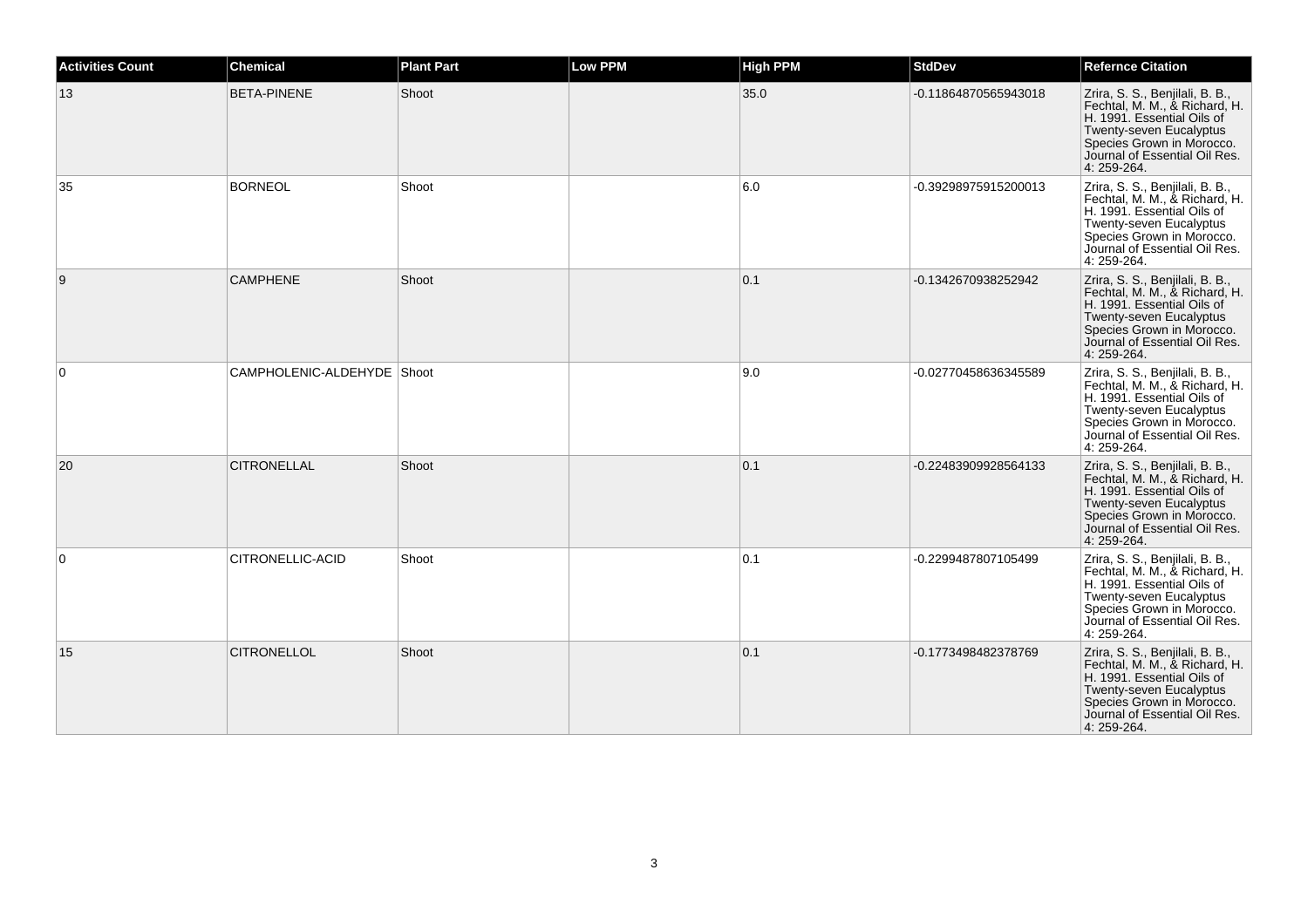| <b>Activities Count</b> | <b>Chemical</b>            | <b>Plant Part</b> | <b>Low PPM</b> | <b>High PPM</b> | <b>StdDev</b>        | <b>Refernce Citation</b>                                                                                                                                                                               |
|-------------------------|----------------------------|-------------------|----------------|-----------------|----------------------|--------------------------------------------------------------------------------------------------------------------------------------------------------------------------------------------------------|
| 13                      | <b>BETA-PINENE</b>         | Shoot             |                | 35.0            | -0.11864870565943018 | Zrira, S. S., Benjilali, B. B.,<br>Fechtal, M. M., & Richard, H.<br>H. 1991. Essential Oils of<br>Twenty-seven Eucalyptus<br>Species Grown in Morocco.<br>Journal of Essential Oil Res.<br>4: 259-264. |
| 35                      | <b>BORNEOL</b>             | Shoot             |                | 6.0             | -0.39298975915200013 | Zrira, S. S., Benjilali, B. B.,<br>Fechtal, M. M., & Richard, H.<br>H. 1991. Essential Oils of<br>Twenty-seven Eucalyptus<br>Species Grown in Morocco.<br>Journal of Essential Oil Res.<br>4: 259-264. |
| 9                       | <b>CAMPHENE</b>            | Shoot             |                | 0.1             | -0.1342670938252942  | Zrira, S. S., Benjilali, B. B.,<br>Fechtal, M. M., & Richard, H.<br>H. 1991. Essential Oils of<br>Twenty-seven Eucalyptus<br>Species Grown in Morocco.<br>Journal of Essential Oil Res.<br>4: 259-264. |
| $\Omega$                | CAMPHOLENIC-ALDEHYDE Shoot |                   |                | 9.0             | -0.02770458636345589 | Zrira, S. S., Benjilali, B. B.,<br>Fechtal, M. M., & Richard, H.<br>H. 1991. Essential Oils of<br>Twenty-seven Eucalyptus<br>Species Grown in Morocco.<br>Journal of Essential Oil Res.<br>4: 259-264. |
| 20                      | <b>CITRONELLAL</b>         | Shoot             |                | 0.1             | -0.22483909928564133 | Zrira, S. S., Benjilali, B. B.,<br>Fechtal, M. M., & Richard, H.<br>H. 1991. Essential Oils of<br>Twenty-seven Eucalyptus<br>Species Grown in Morocco.<br>Journal of Essential Oil Res.<br>4: 259-264. |
| $\Omega$                | CITRONELLIC-ACID           | Shoot             |                | 0.1             | -0.2299487807105499  | Zrira, S. S., Benjilali, B. B.,<br>Fechtal, M. M., & Richard, H.<br>H. 1991. Essential Oils of<br>Twenty-seven Eucalyptus<br>Species Grown in Morocco.<br>Journal of Essential Oil Res.<br>4: 259-264. |
| 15                      | <b>CITRONELLOL</b>         | Shoot             |                | 0.1             | -0.1773498482378769  | Zrira, S. S., Benjilali, B. B.,<br>Fechtal, M. M., & Richard, H.<br>H. 1991. Essential Oils of<br>Twenty-seven Eucalyptus<br>Species Grown in Morocco.<br>Journal of Essential Oil Res.<br>4: 259-264. |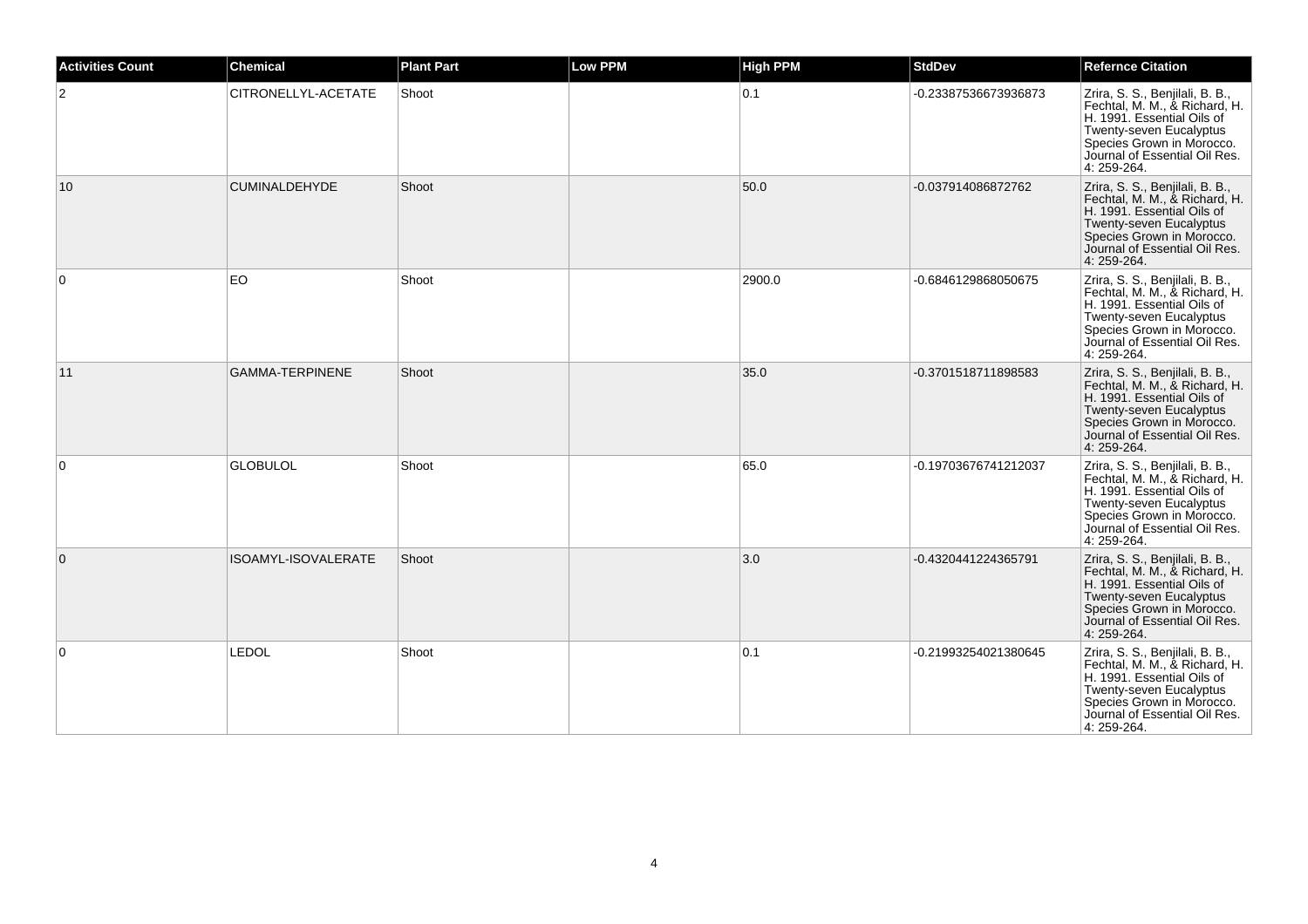| <b>Activities Count</b> | <b>Chemical</b>        | <b>Plant Part</b> | <b>Low PPM</b> | <b>High PPM</b> | <b>StdDev</b>        | <b>Refernce Citation</b>                                                                                                                                                                               |
|-------------------------|------------------------|-------------------|----------------|-----------------|----------------------|--------------------------------------------------------------------------------------------------------------------------------------------------------------------------------------------------------|
| $\overline{2}$          | CITRONELLYL-ACETATE    | Shoot             |                | 0.1             | -0.23387536673936873 | Zrira, S. S., Benjilali, B. B.,<br>Fechtal, M. M., & Richard, H.<br>H. 1991. Essential Oils of<br>Twenty-seven Eucalyptus<br>Species Grown in Morocco.<br>Journal of Essential Oil Res.<br>4: 259-264. |
| 10                      | <b>CUMINALDEHYDE</b>   | Shoot             |                | 50.0            | -0.037914086872762   | Zrira, S. S., Benjilali, B. B.,<br>Fechtal, M. M., & Richard, H.<br>H. 1991. Essential Oils of<br>Twenty-seven Eucalyptus<br>Species Grown in Morocco.<br>Journal of Essential Oil Res.<br>4: 259-264. |
| $\Omega$                | <b>EO</b>              | Shoot             |                | 2900.0          | -0.6846129868050675  | Zrira, S. S., Benjilali, B. B.,<br>Fechtal, M. M., & Richard, H.<br>H. 1991. Essential Oils of<br>Twenty-seven Eucalyptus<br>Species Grown in Morocco.<br>Journal of Essential Oil Res.<br>4: 259-264. |
| 11                      | <b>GAMMA-TERPINENE</b> | Shoot             |                | 35.0            | -0.3701518711898583  | Zrira, S. S., Benjilali, B. B.,<br>Fechtal, M. M., & Richard, H.<br>H. 1991. Essential Oils of<br>Twenty-seven Eucalyptus<br>Species Grown in Morocco.<br>Journal of Essential Oil Res.<br>4: 259-264. |
| $\mathbf 0$             | <b>GLOBULOL</b>        | Shoot             |                | 65.0            | -0.19703676741212037 | Zrira, S. S., Benjilali, B. B.,<br>Fechtal, M. M., & Richard, H.<br>H. 1991. Essential Oils of<br>Twenty-seven Eucalyptus<br>Species Grown in Morocco.<br>Journal of Essential Oil Res.<br>4: 259-264. |
| $\mathbf{0}$            | ISOAMYL-ISOVALERATE    | Shoot             |                | 3.0             | -0.4320441224365791  | Zrira, S. S., Benjilali, B. B.,<br>Fechtal, M. M., & Richard, H.<br>H. 1991. Essential Oils of<br>Twenty-seven Eucalyptus<br>Species Grown in Morocco.<br>Journal of Essential Oil Res.<br>4: 259-264. |
| $\mathbf 0$             | <b>LEDOL</b>           | Shoot             |                | 0.1             | -0.21993254021380645 | Zrira, S. S., Benjilali, B. B.,<br>Fechtal, M. M., & Richard, H.<br>H. 1991. Essential Oils of<br>Twenty-seven Eucalyptus<br>Species Grown in Morocco.<br>Journal of Essential Oil Res.<br>4: 259-264. |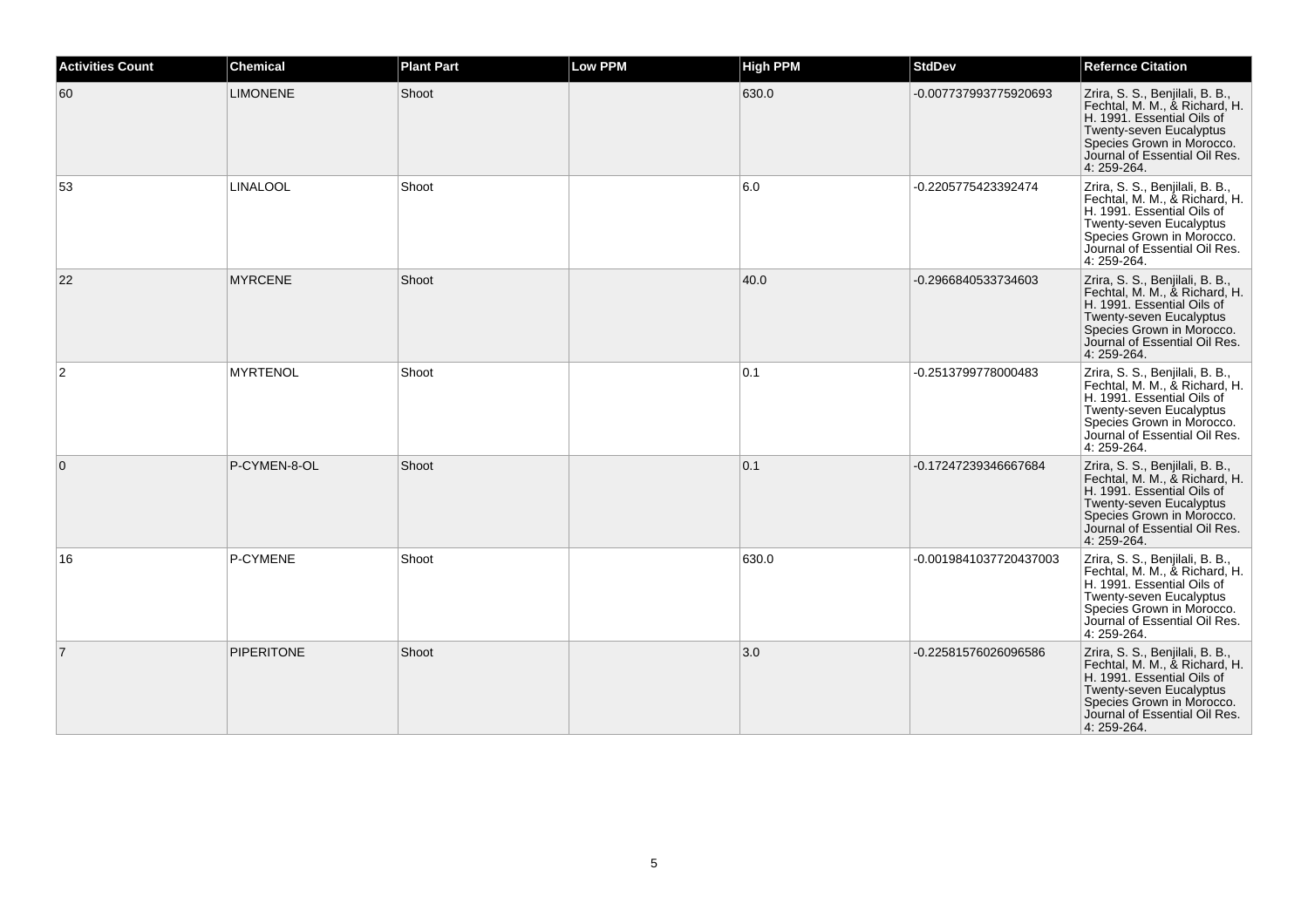| <b>Activities Count</b> | <b>Chemical</b>   | <b>Plant Part</b> | <b>Low PPM</b> | <b>High PPM</b> | <b>StdDev</b>          | <b>Refernce Citation</b>                                                                                                                                                                               |
|-------------------------|-------------------|-------------------|----------------|-----------------|------------------------|--------------------------------------------------------------------------------------------------------------------------------------------------------------------------------------------------------|
| 60                      | <b>LIMONENE</b>   | Shoot             |                | 630.0           | -0.007737993775920693  | Zrira, S. S., Benjilali, B. B.,<br>Fechtal, M. M., & Richard, H.<br>H. 1991. Essential Oils of<br>Twenty-seven Eucalyptus<br>Species Grown in Morocco.<br>Journal of Essential Oil Res.<br>4: 259-264. |
| 53                      | <b>LINALOOL</b>   | Shoot             |                | 6.0             | -0.2205775423392474    | Zrira, S. S., Benjilali, B. B.,<br>Fechtal, M. M., & Richard, H.<br>H. 1991. Essential Oils of<br>Twenty-seven Eucalyptus<br>Species Grown in Morocco.<br>Journal of Essential Oil Res.<br>4: 259-264. |
| 22                      | <b>MYRCENE</b>    | Shoot             |                | 40.0            | -0.2966840533734603    | Zrira, S. S., Benjilali, B. B.,<br>Fechtal, M. M., & Richard, H.<br>H. 1991. Essential Oils of<br>Twenty-seven Eucalyptus<br>Species Grown in Morocco.<br>Journal of Essential Oil Res.<br>4: 259-264. |
| $\overline{2}$          | <b>MYRTENOL</b>   | Shoot             |                | 0.1             | -0.2513799778000483    | Zrira, S. S., Benjilali, B. B.,<br>Fechtal, M. M., & Richard, H.<br>H. 1991. Essential Oils of<br>Twenty-seven Eucalyptus<br>Species Grown in Morocco.<br>Journal of Essential Oil Res.<br>4: 259-264. |
| $\overline{0}$          | P-CYMEN-8-OL      | Shoot             |                | 0.1             | -0.17247239346667684   | Zrira, S. S., Benjilali, B. B.,<br>Fechtal, M. M., & Richard, H.<br>H. 1991. Essential Oils of<br>Twenty-seven Eucalyptus<br>Species Grown in Morocco.<br>Journal of Essential Oil Res.<br>4: 259-264. |
| 16                      | P-CYMENE          | Shoot             |                | 630.0           | -0.0019841037720437003 | Zrira, S. S., Benjilali, B. B.,<br>Fechtal, M. M., & Richard, H.<br>H. 1991. Essential Oils of<br>Twenty-seven Eucalyptus<br>Species Grown in Morocco.<br>Journal of Essential Oil Res.<br>4: 259-264. |
| $\overline{7}$          | <b>PIPERITONE</b> | Shoot             |                | 3.0             | -0.22581576026096586   | Zrira, S. S., Benjilali, B. B.,<br>Fechtal, M. M., & Richard, H.<br>H. 1991. Essential Oils of<br>Twenty-seven Eucalyptus<br>Species Grown in Morocco.<br>Journal of Essential Oil Res.<br>4: 259-264. |